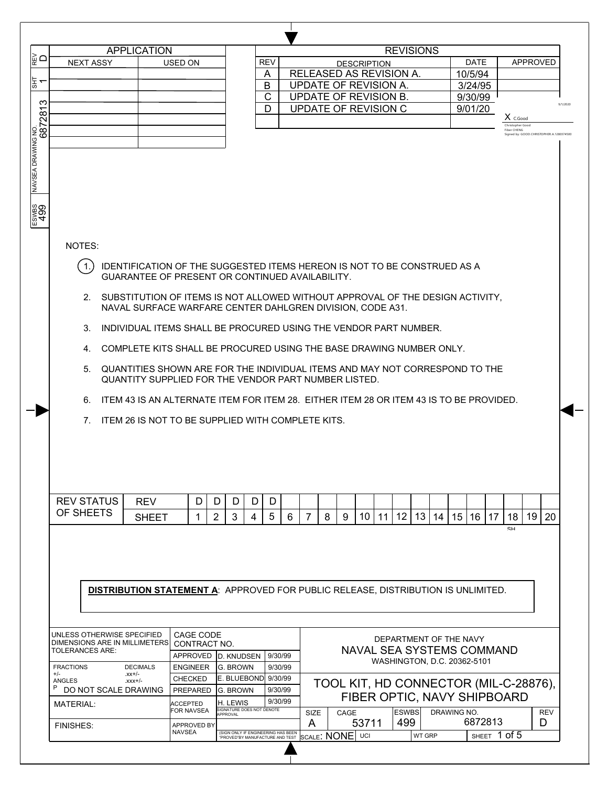|                                                         |                                                                                          | <b>APPLICATION</b>    |                                                                                        |                                       |            |                         |                                                     |                                       | <b>REVISIONS</b>            |          |             |                         |                                 |                                          |
|---------------------------------------------------------|------------------------------------------------------------------------------------------|-----------------------|----------------------------------------------------------------------------------------|---------------------------------------|------------|-------------------------|-----------------------------------------------------|---------------------------------------|-----------------------------|----------|-------------|-------------------------|---------------------------------|------------------------------------------|
|                                                         | <b>NEXT ASSY</b>                                                                         |                       | USED ON                                                                                |                                       | <b>REV</b> |                         |                                                     | <b>DESCRIPTION</b>                    |                             |          |             | <b>DATE</b>             |                                 | <b>APPROVED</b>                          |
|                                                         |                                                                                          |                       |                                                                                        |                                       | A          | RELEASED AS REVISION A. |                                                     |                                       |                             |          |             | 10/5/94                 |                                 |                                          |
|                                                         |                                                                                          |                       |                                                                                        |                                       | B          | UPDATE OF REVISION A.   |                                                     |                                       |                             |          |             | 3/24/95                 |                                 |                                          |
|                                                         |                                                                                          |                       |                                                                                        |                                       | C          | UPDATE OF REVISION B.   |                                                     |                                       |                             |          |             | 9/30/99                 |                                 |                                          |
|                                                         |                                                                                          |                       |                                                                                        |                                       | D          | UPDATE OF REVISION C    |                                                     |                                       |                             |          |             | 9/01/20                 | $X$ C.Good                      |                                          |
|                                                         |                                                                                          |                       |                                                                                        |                                       |            |                         |                                                     |                                       |                             |          |             |                         | Christopher Good<br>Fiber CHENG |                                          |
|                                                         |                                                                                          |                       |                                                                                        |                                       |            |                         |                                                     |                                       |                             |          |             |                         |                                 | Signed by: GOOD.CHRISTOPHER.A.1280374500 |
|                                                         |                                                                                          |                       |                                                                                        |                                       |            |                         |                                                     |                                       |                             |          |             |                         |                                 |                                          |
|                                                         |                                                                                          |                       |                                                                                        |                                       |            |                         |                                                     |                                       |                             |          |             |                         |                                 |                                          |
|                                                         |                                                                                          |                       |                                                                                        |                                       |            |                         |                                                     |                                       |                             |          |             |                         |                                 |                                          |
|                                                         |                                                                                          |                       |                                                                                        |                                       |            |                         |                                                     |                                       |                             |          |             |                         |                                 |                                          |
|                                                         |                                                                                          |                       |                                                                                        |                                       |            |                         |                                                     |                                       |                             |          |             |                         |                                 |                                          |
|                                                         |                                                                                          |                       |                                                                                        |                                       |            |                         |                                                     |                                       |                             |          |             |                         |                                 |                                          |
|                                                         |                                                                                          |                       |                                                                                        |                                       |            |                         |                                                     |                                       |                             |          |             |                         |                                 |                                          |
|                                                         |                                                                                          |                       |                                                                                        |                                       |            |                         |                                                     |                                       |                             |          |             |                         |                                 |                                          |
|                                                         | NOTES:                                                                                   |                       |                                                                                        |                                       |            |                         |                                                     |                                       |                             |          |             |                         |                                 |                                          |
|                                                         |                                                                                          |                       |                                                                                        |                                       |            |                         |                                                     |                                       |                             |          |             |                         |                                 |                                          |
|                                                         | $\overline{1}$ .                                                                         |                       | IDENTIFICATION OF THE SUGGESTED ITEMS HEREON IS NOT TO BE CONSTRUED AS A               |                                       |            |                         |                                                     |                                       |                             |          |             |                         |                                 |                                          |
|                                                         |                                                                                          |                       | GUARANTEE OF PRESENT OR CONTINUED AVAILABILITY.                                        |                                       |            |                         |                                                     |                                       |                             |          |             |                         |                                 |                                          |
|                                                         |                                                                                          |                       |                                                                                        |                                       |            |                         |                                                     |                                       |                             |          |             |                         |                                 |                                          |
|                                                         | 2. SUBSTITUTION OF ITEMS IS NOT ALLOWED WITHOUT APPROVAL OF THE DESIGN ACTIVITY,         |                       | NAVAL SURFACE WARFARE CENTER DAHLGREN DIVISION, CODE A31.                              |                                       |            |                         |                                                     |                                       |                             |          |             |                         |                                 |                                          |
|                                                         |                                                                                          |                       |                                                                                        |                                       |            |                         |                                                     |                                       |                             |          |             |                         |                                 |                                          |
|                                                         | 3.                                                                                       |                       | INDIVIDUAL ITEMS SHALL BE PROCURED USING THE VENDOR PART NUMBER.                       |                                       |            |                         |                                                     |                                       |                             |          |             |                         |                                 |                                          |
|                                                         |                                                                                          |                       |                                                                                        |                                       |            |                         |                                                     |                                       |                             |          |             |                         |                                 |                                          |
|                                                         | 4.                                                                                       |                       | COMPLETE KITS SHALL BE PROCURED USING THE BASE DRAWING NUMBER ONLY.                    |                                       |            |                         |                                                     |                                       |                             |          |             |                         |                                 |                                          |
|                                                         | 5.                                                                                       |                       | QUANTITIES SHOWN ARE FOR THE INDIVIDUAL ITEMS AND MAY NOT CORRESPOND TO THE            |                                       |            |                         |                                                     |                                       |                             |          |             |                         |                                 |                                          |
|                                                         |                                                                                          |                       | QUANTITY SUPPLIED FOR THE VENDOR PART NUMBER LISTED.                                   |                                       |            |                         |                                                     |                                       |                             |          |             |                         |                                 |                                          |
|                                                         |                                                                                          |                       |                                                                                        |                                       |            |                         |                                                     |                                       |                             |          |             |                         |                                 |                                          |
|                                                         | 6.                                                                                       |                       | ITEM 43 IS AN ALTERNATE ITEM FOR ITEM 28. EITHER ITEM 28 OR ITEM 43 IS TO BE PROVIDED. |                                       |            |                         |                                                     |                                       |                             |          |             |                         |                                 |                                          |
|                                                         | $7_{\scriptscriptstyle{\sim}}$                                                           |                       | ITEM 26 IS NOT TO BE SUPPLIED WITH COMPLETE KITS.                                      |                                       |            |                         |                                                     |                                       |                             |          |             |                         |                                 |                                          |
|                                                         |                                                                                          |                       |                                                                                        |                                       |            |                         |                                                     |                                       |                             |          |             |                         |                                 |                                          |
|                                                         |                                                                                          |                       |                                                                                        |                                       |            |                         |                                                     |                                       |                             |          |             |                         |                                 |                                          |
|                                                         |                                                                                          |                       |                                                                                        |                                       |            |                         |                                                     |                                       |                             |          |             |                         |                                 |                                          |
|                                                         |                                                                                          |                       |                                                                                        |                                       |            |                         |                                                     |                                       |                             |          |             |                         |                                 |                                          |
|                                                         |                                                                                          |                       |                                                                                        |                                       |            |                         |                                                     |                                       |                             |          |             |                         |                                 |                                          |
|                                                         |                                                                                          |                       |                                                                                        |                                       |            |                         |                                                     |                                       |                             |          |             |                         |                                 |                                          |
|                                                         | <b>REV STATUS</b>                                                                        | <b>REV</b>            | D                                                                                      | D<br>D<br>D                           | D          |                         |                                                     |                                       |                             |          |             |                         |                                 |                                          |
|                                                         | OF SHEETS                                                                                | <b>SHEET</b>          | 1                                                                                      | $\overline{2}$<br>3<br>4              | 5          | 7<br>6                  | 8<br>9                                              | 10<br>11                              | $12 \overline{ }$           | 13<br>14 | 15          | 16 17                   | 18                              | 19<br>20                                 |
|                                                         |                                                                                          |                       |                                                                                        |                                       |            |                         |                                                     |                                       |                             |          |             |                         | SH                              |                                          |
|                                                         |                                                                                          |                       |                                                                                        |                                       |            |                         |                                                     |                                       |                             |          |             |                         |                                 |                                          |
|                                                         |                                                                                          |                       |                                                                                        |                                       |            |                         |                                                     |                                       |                             |          |             |                         |                                 |                                          |
|                                                         |                                                                                          |                       |                                                                                        |                                       |            |                         |                                                     |                                       |                             |          |             |                         |                                 |                                          |
|                                                         |                                                                                          |                       |                                                                                        |                                       |            |                         |                                                     |                                       |                             |          |             |                         |                                 |                                          |
|                                                         | <b>DISTRIBUTION STATEMENT A: APPROVED FOR PUBLIC RELEASE, DISTRIBUTION IS UNLIMITED.</b> |                       |                                                                                        |                                       |            |                         |                                                     |                                       |                             |          |             |                         |                                 |                                          |
|                                                         |                                                                                          |                       |                                                                                        |                                       |            |                         |                                                     |                                       |                             |          |             |                         |                                 |                                          |
|                                                         |                                                                                          |                       |                                                                                        |                                       |            |                         |                                                     |                                       |                             |          |             |                         |                                 |                                          |
|                                                         |                                                                                          |                       |                                                                                        |                                       |            |                         |                                                     |                                       |                             |          |             |                         |                                 |                                          |
|                                                         | UNLESS OTHERWISE SPECIFIED                                                               |                       | CAGE CODE                                                                              |                                       |            |                         |                                                     |                                       |                             |          |             |                         |                                 |                                          |
| DIMENSIONS ARE IN MILLIMETERS<br><b>TOLERANCES ARE:</b> |                                                                                          |                       | CONTRACT NO.                                                                           |                                       |            |                         | DEPARTMENT OF THE NAVY<br>NAVAL SEA SYSTEMS COMMAND |                                       |                             |          |             |                         |                                 |                                          |
|                                                         |                                                                                          |                       | APPROVED D. KNUDSEN                                                                    |                                       | 9/30/99    |                         |                                                     |                                       | WASHINGTON, D.C. 20362-5101 |          |             |                         |                                 |                                          |
|                                                         |                                                                                          | <b>DECIMALS</b>       | <b>ENGINEER</b>                                                                        | IG. BROWN                             | 9/30/99    |                         |                                                     |                                       |                             |          |             |                         |                                 |                                          |
| <b>FRACTIONS</b>                                        |                                                                                          | $xx+/-$<br>$-1+xxx$ . | <b>CHECKED</b>                                                                         | E. BLUEBOND 9/30/99                   |            |                         |                                                     | TOOL KIT, HD CONNECTOR (MIL-C-28876), |                             |          |             |                         |                                 |                                          |
| $+/-$<br>ANGLES                                         |                                                                                          |                       |                                                                                        | <b>G. BROWN</b>                       | 9/30/99    |                         |                                                     |                                       |                             |          |             |                         |                                 |                                          |
| P                                                       | DO NOT SCALE DRAWING                                                                     |                       | PREPARED                                                                               |                                       |            |                         |                                                     |                                       |                             |          |             |                         |                                 |                                          |
| <b>MATERIAL:</b>                                        |                                                                                          |                       | <b>ACCEPTED</b>                                                                        | H. LEWIS                              | 9/30/99    |                         |                                                     | FIBER OPTIC, NAVY SHIPBOARD           |                             |          |             |                         |                                 |                                          |
|                                                         |                                                                                          |                       | FOR NAVSEA                                                                             | SIGNATURE DOES NOT DENOTE<br>APPROVAL |            | SIZE                    | CAGE                                                |                                       | <b>ESWBS</b>                |          | DRAWING NO. |                         |                                 | <b>REV</b>                               |
| <b>FINISHES:</b>                                        |                                                                                          |                       | APPROVED BY<br><b>NAVSEA</b>                                                           | (SIGN ONLY IF ENGINEERING HAS BEEN    |            | A                       | SCALE: NONE UCI                                     | 53711                                 | 499                         |          |             | 6872813<br>SHEET 1 of 5 |                                 | D                                        |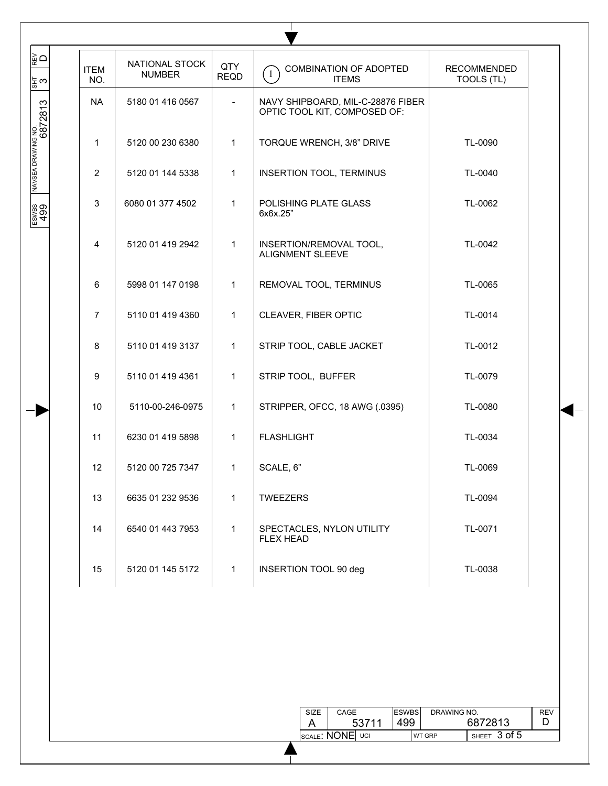| ⊺⊯ ⊇                                | <b>ITEM</b>      | NATIONAL STOCK<br><b>NUMBER</b> | QTY<br><b>REQD</b>       | COMBINATION OF ADOPTED<br>$\left(1\right)$<br><b>ITEMS</b>        | <b>RECOMMENDED</b><br>TOOLS (TL) |
|-------------------------------------|------------------|---------------------------------|--------------------------|-------------------------------------------------------------------|----------------------------------|
| ¦≅ ట<br>NAVSEA DRAWING NO.<br> <br> | NO.<br><b>NA</b> | 5180 01 416 0567                | $\overline{\phantom{a}}$ | NAVY SHIPBOARD, MIL-C-28876 FIBER<br>OPTIC TOOL KIT, COMPOSED OF: |                                  |
|                                     | 1                | 5120 00 230 6380                | 1                        | TORQUE WRENCH, 3/8" DRIVE                                         | TL-0090                          |
|                                     | $\overline{2}$   | 5120 01 144 5338                | $\mathbf{1}$             | INSERTION TOOL, TERMINUS                                          | TL-0040                          |
| ESWBS<br>499                        | 3                | 6080 01 377 4502                | 1                        | POLISHING PLATE GLASS<br>6x6x.25"                                 | TL-0062                          |
|                                     | $\overline{4}$   | 5120 01 419 2942                | $\mathbf{1}$             | INSERTION/REMOVAL TOOL,<br>ALIGNMENT SLEEVE                       | TL-0042                          |
|                                     | 6                | 5998 01 147 0198                | 1                        | REMOVAL TOOL, TERMINUS                                            | TL-0065                          |
|                                     | $\overline{7}$   | 5110 01 419 4360                | $\mathbf{1}$             | CLEAVER, FIBER OPTIC                                              | TL-0014                          |
|                                     | 8                | 5110 01 419 3137                | 1                        | STRIP TOOL, CABLE JACKET                                          | TL-0012                          |
|                                     | 9                | 5110 01 419 4361                | $\mathbf{1}$             | STRIP TOOL, BUFFER                                                | TL-0079                          |
|                                     | 10               | 5110-00-246-0975                | 1                        | STRIPPER, OFCC, 18 AWG (.0395)                                    | TL-0080                          |
|                                     | 11               | 6230 01 419 5898                | $\mathbf{1}$             | <b>FLASHLIGHT</b>                                                 | TL-0034                          |
|                                     | 12               | 5120 00 725 7347                | 1                        | SCALE, 6"                                                         | TL-0069                          |
|                                     | 13               | 6635 01 232 9536                | 1                        | <b>TWEEZERS</b>                                                   | TL-0094                          |
|                                     | 14               | 6540 01 443 7953                | $\mathbf{1}$             | SPECTACLES, NYLON UTILITY<br><b>FLEX HEAD</b>                     | TL-0071                          |
|                                     | 15               | 5120 01 145 5172                | 1                        | INSERTION TOOL 90 deg                                             | TL-0038                          |

| SIZE | CAGE            | <b>ESWBS</b> | DRAWING NO.   |                      | REV |
|------|-----------------|--------------|---------------|----------------------|-----|
|      | 53711           | 499          |               | 6872813              |     |
|      | SCALE: NONE UCI |              | <b>WT GRP</b> | $'$ SHEET $3$ of $5$ |     |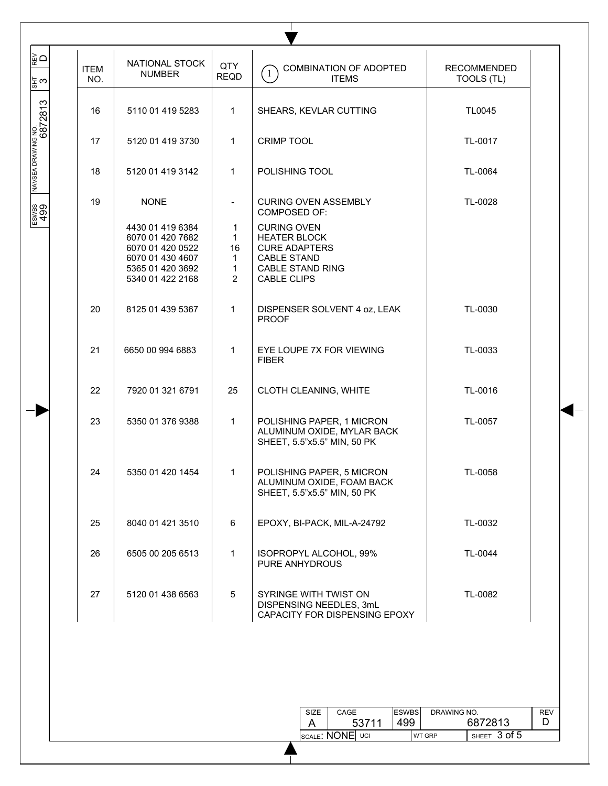| <b>ITEM</b><br>NO. | NATIONAL STOCK<br><b>NUMBER</b>                                                                                      | QTY<br><b>REQD</b>                                                        | COMBINATION OF ADOPTED<br>$\overline{1}$<br><b>ITEMS</b>                                                                                 | <b>RECOMMENDED</b><br>TOOLS (TL) |
|--------------------|----------------------------------------------------------------------------------------------------------------------|---------------------------------------------------------------------------|------------------------------------------------------------------------------------------------------------------------------------------|----------------------------------|
| 16                 | 5110 01 419 5283                                                                                                     | $\mathbf{1}$                                                              | SHEARS, KEVLAR CUTTING                                                                                                                   | TL0045                           |
| 17                 | 5120 01 419 3730                                                                                                     | $\mathbf{1}$                                                              | <b>CRIMP TOOL</b>                                                                                                                        | TL-0017                          |
| 18                 | 5120 01 419 3142                                                                                                     | $\mathbf{1}$                                                              | POLISHING TOOL                                                                                                                           | TL-0064                          |
| 19                 | <b>NONE</b>                                                                                                          |                                                                           | <b>CURING OVEN ASSEMBLY</b><br><b>COMPOSED OF:</b>                                                                                       | TL-0028                          |
|                    | 4430 01 419 6384<br>6070 01 420 7682<br>6070 01 420 0522<br>6070 01 430 4607<br>5365 01 420 3692<br>5340 01 422 2168 | 1<br>$\mathbf{1}$<br>16<br>$\mathbf{1}$<br>$\mathbf{1}$<br>$\overline{2}$ | <b>CURING OVEN</b><br><b>HEATER BLOCK</b><br><b>CURE ADAPTERS</b><br><b>CABLE STAND</b><br><b>CABLE STAND RING</b><br><b>CABLE CLIPS</b> |                                  |
| 20                 | 8125 01 439 5367                                                                                                     | $\mathbf 1$                                                               | DISPENSER SOLVENT 4 oz, LEAK<br><b>PROOF</b>                                                                                             | TL-0030                          |
| 21                 | 6650 00 994 6883                                                                                                     | $\mathbf{1}$                                                              | EYE LOUPE 7X FOR VIEWING<br><b>FIBER</b>                                                                                                 | TL-0033                          |
| 22                 | 7920 01 321 6791                                                                                                     | 25                                                                        | CLOTH CLEANING, WHITE                                                                                                                    | TL-0016                          |
| 23                 | 5350 01 376 9388                                                                                                     | $\mathbf{1}$                                                              | POLISHING PAPER, 1 MICRON<br>ALUMINUM OXIDE, MYLAR BACK<br>SHEET, 5.5"x5.5" MIN, 50 PK                                                   | TL-0057                          |
| 24                 | 5350 01 420 1454                                                                                                     | $\mathbf{1}$                                                              | POLISHING PAPER, 5 MICRON<br>ALUMINUM OXIDE, FOAM BACK<br>SHEET, 5.5"x5.5" MIN, 50 PK                                                    | TL-0058                          |
| 25                 | 8040 01 421 3510                                                                                                     | 6                                                                         | EPOXY, BI-PACK, MIL-A-24792                                                                                                              | TL-0032                          |
| 26                 | 6505 00 205 6513                                                                                                     | $\mathbf{1}$                                                              | ISOPROPYL ALCOHOL, 99%<br>PURE ANHYDROUS                                                                                                 | TL-0044                          |
| 27                 | 5120 01 438 6563                                                                                                     | 5                                                                         | SYRINGE WITH TWIST ON<br>DISPENSING NEEDLES, 3mL<br>CAPACITY FOR DISPENSING EPOXY                                                        | TL-0082                          |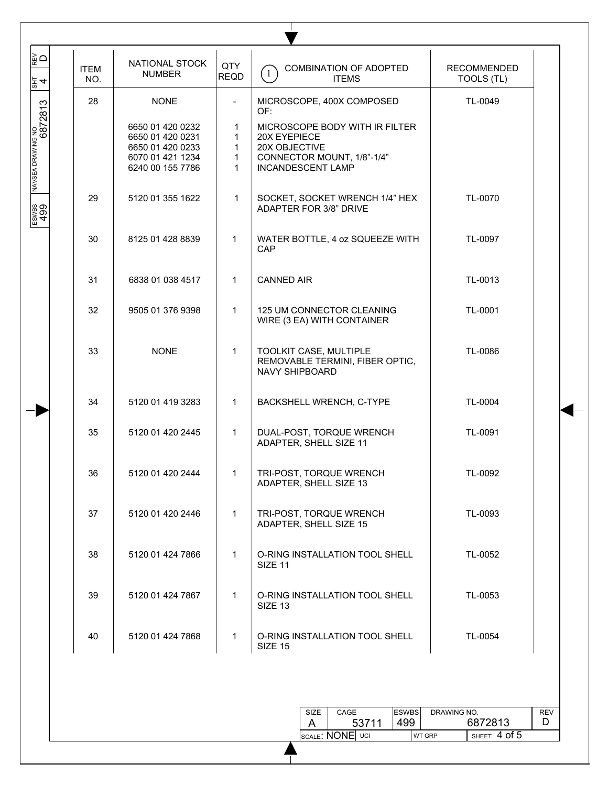| 28<br>TL-0049<br><b>NONE</b><br>MICROSCOPE, 400X COMPOSED<br>NAVSEA DRAWING NO.<br> <br> <br>$\overline{\phantom{a}}$<br>OF:<br>6650 01 420 0232<br>MICROSCOPE BODY WITH IR FILTER<br>$\mathbf 1$<br>6650 01 420 0231<br>20X EYEPIECE<br>$\mathbf 1$<br>20X OBJECTIVE<br>6650 01 420 0233<br>1.<br>6070 01 421 1234<br>1<br>CONNECTOR MOUNT, 1/8"-1/4"<br>6240 00 155 7786<br>$\mathbf{1}$<br><b>INCANDESCENT LAMP</b><br>29<br>5120 01 355 1622<br>$\mathbf{1}$<br>TL-0070<br>SOCKET, SOCKET WRENCH 1/4" HEX<br>ADAPTER FOR 3/8" DRIVE<br>30<br>TL-0097<br>8125 01 428 8839<br>1<br>WATER BOTTLE, 4 oz SQUEEZE WITH<br>CAP<br>31<br>6838 01 038 4517<br><b>CANNED AIR</b><br>TL-0013<br>$\mathbf{1}$<br>32<br>TL-0001<br>9505 01 376 9398<br>$\mathbf{1}$<br>125 UM CONNECTOR CLEANING<br>WIRE (3 EA) WITH CONTAINER<br>33<br><b>NONE</b><br>TOOLKIT CASE, MULTIPLE<br>TL-0086<br>$\mathbf 1$<br>REMOVABLE TERMINI, FIBER OPTIC,<br>NAVY SHIPBOARD<br>34<br>5120 01 419 3283<br>$\mathbf{1}$<br>BACKSHELL WRENCH, C-TYPE<br>TL-0004<br>35<br>TL-0091<br>5120 01 420 2445<br>1<br>DUAL-POST, TORQUE WRENCH<br>ADAPTER, SHELL SIZE 11<br>TRI-POST, TORQUE WRENCH<br>36<br>5120 01 420 2444<br>TL-0092<br>1<br>ADAPTER, SHELL SIZE 13<br>37<br>5120 01 420 2446<br>1<br>TRI-POST, TORQUE WRENCH<br>TL-0093<br>ADAPTER, SHELL SIZE 15<br>38<br>5120 01 424 7866<br>1<br>O-RING INSTALLATION TOOL SHELL<br>TL-0052<br>SIZE 11<br>39<br>5120 01 424 7867<br>$\mathbf{1}$<br>O-RING INSTALLATION TOOL SHELL<br>TL-0053<br>SIZE 13<br>40<br>5120 01 424 7868<br>1<br>O-RING INSTALLATION TOOL SHELL<br>TL-0054<br><b>SIZE 15</b> | R⊵ O<br>$\frac{12}{3}$ 4 | <b>ITEM</b><br>NO. | NATIONAL STOCK<br><b>NUMBER</b> | QTY<br><b>REQD</b> | COMBINATION OF ADOPTED<br>$\left(1\right)$<br><b>ITEMS</b>                  | <b>RECOMMENDED</b><br>TOOLS (TL)     |
|---------------------------------------------------------------------------------------------------------------------------------------------------------------------------------------------------------------------------------------------------------------------------------------------------------------------------------------------------------------------------------------------------------------------------------------------------------------------------------------------------------------------------------------------------------------------------------------------------------------------------------------------------------------------------------------------------------------------------------------------------------------------------------------------------------------------------------------------------------------------------------------------------------------------------------------------------------------------------------------------------------------------------------------------------------------------------------------------------------------------------------------------------------------------------------------------------------------------------------------------------------------------------------------------------------------------------------------------------------------------------------------------------------------------------------------------------------------------------------------------------------------------------------------------------------------------------------------------------------------------------|--------------------------|--------------------|---------------------------------|--------------------|-----------------------------------------------------------------------------|--------------------------------------|
|                                                                                                                                                                                                                                                                                                                                                                                                                                                                                                                                                                                                                                                                                                                                                                                                                                                                                                                                                                                                                                                                                                                                                                                                                                                                                                                                                                                                                                                                                                                                                                                                                           |                          |                    |                                 |                    |                                                                             |                                      |
| ESWBS<br>499                                                                                                                                                                                                                                                                                                                                                                                                                                                                                                                                                                                                                                                                                                                                                                                                                                                                                                                                                                                                                                                                                                                                                                                                                                                                                                                                                                                                                                                                                                                                                                                                              |                          |                    |                                 |                    |                                                                             |                                      |
|                                                                                                                                                                                                                                                                                                                                                                                                                                                                                                                                                                                                                                                                                                                                                                                                                                                                                                                                                                                                                                                                                                                                                                                                                                                                                                                                                                                                                                                                                                                                                                                                                           |                          |                    |                                 |                    |                                                                             |                                      |
|                                                                                                                                                                                                                                                                                                                                                                                                                                                                                                                                                                                                                                                                                                                                                                                                                                                                                                                                                                                                                                                                                                                                                                                                                                                                                                                                                                                                                                                                                                                                                                                                                           |                          |                    |                                 |                    |                                                                             |                                      |
|                                                                                                                                                                                                                                                                                                                                                                                                                                                                                                                                                                                                                                                                                                                                                                                                                                                                                                                                                                                                                                                                                                                                                                                                                                                                                                                                                                                                                                                                                                                                                                                                                           |                          |                    |                                 |                    |                                                                             |                                      |
|                                                                                                                                                                                                                                                                                                                                                                                                                                                                                                                                                                                                                                                                                                                                                                                                                                                                                                                                                                                                                                                                                                                                                                                                                                                                                                                                                                                                                                                                                                                                                                                                                           |                          |                    |                                 |                    |                                                                             |                                      |
|                                                                                                                                                                                                                                                                                                                                                                                                                                                                                                                                                                                                                                                                                                                                                                                                                                                                                                                                                                                                                                                                                                                                                                                                                                                                                                                                                                                                                                                                                                                                                                                                                           |                          |                    |                                 |                    |                                                                             |                                      |
|                                                                                                                                                                                                                                                                                                                                                                                                                                                                                                                                                                                                                                                                                                                                                                                                                                                                                                                                                                                                                                                                                                                                                                                                                                                                                                                                                                                                                                                                                                                                                                                                                           |                          |                    |                                 |                    |                                                                             |                                      |
|                                                                                                                                                                                                                                                                                                                                                                                                                                                                                                                                                                                                                                                                                                                                                                                                                                                                                                                                                                                                                                                                                                                                                                                                                                                                                                                                                                                                                                                                                                                                                                                                                           |                          |                    |                                 |                    |                                                                             |                                      |
|                                                                                                                                                                                                                                                                                                                                                                                                                                                                                                                                                                                                                                                                                                                                                                                                                                                                                                                                                                                                                                                                                                                                                                                                                                                                                                                                                                                                                                                                                                                                                                                                                           |                          |                    |                                 |                    |                                                                             |                                      |
|                                                                                                                                                                                                                                                                                                                                                                                                                                                                                                                                                                                                                                                                                                                                                                                                                                                                                                                                                                                                                                                                                                                                                                                                                                                                                                                                                                                                                                                                                                                                                                                                                           |                          |                    |                                 |                    |                                                                             |                                      |
|                                                                                                                                                                                                                                                                                                                                                                                                                                                                                                                                                                                                                                                                                                                                                                                                                                                                                                                                                                                                                                                                                                                                                                                                                                                                                                                                                                                                                                                                                                                                                                                                                           |                          |                    |                                 |                    |                                                                             |                                      |
|                                                                                                                                                                                                                                                                                                                                                                                                                                                                                                                                                                                                                                                                                                                                                                                                                                                                                                                                                                                                                                                                                                                                                                                                                                                                                                                                                                                                                                                                                                                                                                                                                           |                          |                    |                                 |                    |                                                                             |                                      |
|                                                                                                                                                                                                                                                                                                                                                                                                                                                                                                                                                                                                                                                                                                                                                                                                                                                                                                                                                                                                                                                                                                                                                                                                                                                                                                                                                                                                                                                                                                                                                                                                                           |                          |                    |                                 |                    |                                                                             |                                      |
|                                                                                                                                                                                                                                                                                                                                                                                                                                                                                                                                                                                                                                                                                                                                                                                                                                                                                                                                                                                                                                                                                                                                                                                                                                                                                                                                                                                                                                                                                                                                                                                                                           |                          |                    |                                 |                    | <b>ESWBS</b><br><b>SIZE</b><br>CAGE<br>499<br>53711<br>A<br>SCALE: NONE UCI | DRAWING NO.<br><b>REV</b><br>6872813 |